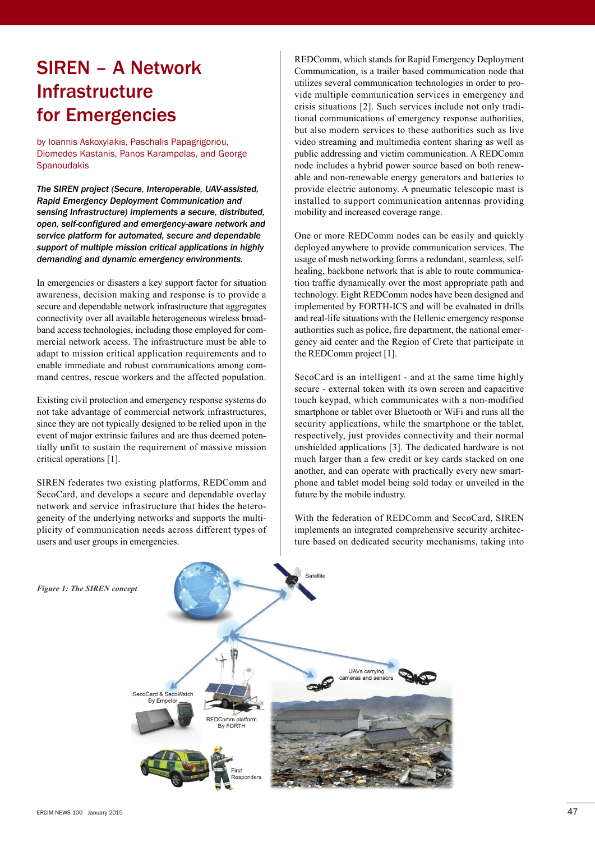# SIREN – A Network Infrastructure for Emergencies

by Ioannis Askoxylakis, Paschalis Papagrigoriou, Diomedes Kastanis, Panos Karampelas, and George **Spanoudakis** 

*The SIREN project (Secure, Interoperable, UAV-assisted, Rapid Emergency Deployment Communication and sensing Infrastructure) implements a secure, distributed, open, self-configured and emergency-aware network and service platform for automated, secure and dependable support of multiple mission critical applications in highly demanding and dynamic emergency environments.*

In emergencies or disasters a key support factor for situation awareness, decision making and response is to provide a secure and dependable network infrastructure that aggregates connectivity over all available heterogeneous wireless broadband access technologies, including those employed for commercial network access. The infrastructure must be able to adapt to mission critical application requirements and to enable immediate and robust communications among command centres, rescue workers and the affected population.

Existing civil protection and emergency response systems do not take advantage of commercial network infrastructures, since they are not typically designed to be relied upon in the event of major extrinsic failures and are thus deemed potentially unfit to sustain the requirement of massive mission critical operations [1].

SIREN federates two existing platforms, REDComm and SecoCard, and develops a secure and dependable overlay network and service infrastructure that hides the heterogeneity of the underlying networks and supports the multiplicity of communication needs across different types of users and user groups in emergencies.

REDComm, which stands for Rapid Emergency Deployment Communication, is a trailer based communication node that utilizes several communication technologies in order to provide multiple communication services in emergency and crisis situations [2]. Such services include not only traditional communications of emergency response authorities, but also modern services to these authorities such as live video streaming and multimedia content sharing as well as public addressing and victim communication. A REDComm node includes a hybrid power source based on both renewable and non-renewable energy generators and batteries to provide electric autonomy. A pneumatic telescopic mast is installed to support communication antennas providing mobility and increased coverage range.

One or more REDComm nodes can be easily and quickly deployed anywhere to provide communication services. The usage of mesh networking forms a redundant, seamless, selfhealing, backbone network that is able to route communication traffic dynamically over the most appropriate path and technology. Eight REDComm nodes have been designed and implemented by FORTH-ICS and will be evaluated in drills and real-life situations with the Hellenic emergency response authorities such as police, fire department, the national emergency aid center and the Region of Crete that participate in the REDComm project [1].

SecoCard is an intelligent - and at the same time highly secure - external token with its own screen and capacitive touch keypad, which communicates with a non-modified smartphone or tablet over Bluetooth or WiFi and runs all the security applications, while the smartphone or the tablet, respectively, just provides connectivity and their normal unshielded applications [3]. The dedicated hardware is not much larger than a few credit or key cards stacked on one another, and can operate with practically every new smartphone and tablet model being sold today or unveiled in the future by the mobile industry.

With the federation of REDComm and SecoCard, SIREN implements an integrated comprehensive security architecture based on dedicated security mechanisms, taking into



*Figure 1: The SIREN concept*